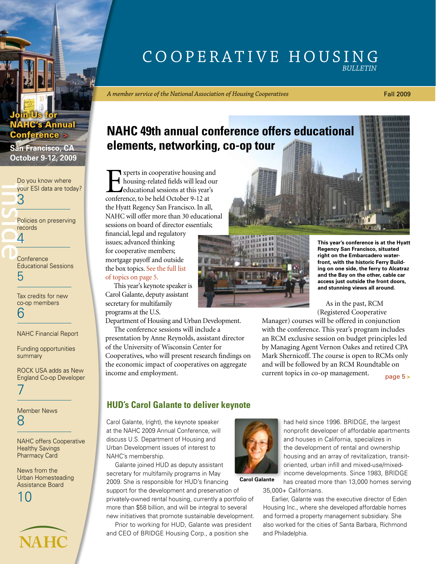## Cooperative Housing *Bulletin*

*A member service of the National Association of Housing Cooperatives*

#### Fall 2009

## **NAHC 49th annual conference offers educational elements, networking, co-op tour**

Experts in cooperative housing and<br>housing-related fields will lead our<br>deducational sessions at this year's<br>conference to be held October 9-12 at housing-related fields will lead our educational sessions at this year's conference, to be held October 9-12 at the Hyatt Regency San Francisco. In all, NAHC will offer more than 30 educational sessions on board of director essentials;

financial, legal and regulatory issues; advanced thinking for cooperative members; mortgage payoff and outside the box topics. See the full list of topics on page 5.

This year's keynote speaker is Carol Galante, deputy assistant secretary for multifamily programs at the U.S.

Department of Housing and Urban Development.

The conference sessions will include a presentation by Anne Reynolds, assistant director of the University of Wisconsin Center for Cooperatives, who will present research findings on the economic impact of cooperatives on aggregate income and employment.



**This year's conference is at the Hyatt Regency San Francisco, situated right on the Embarcadero waterfront, with the historic Ferry Building on one side, the ferry to Alcatraz and the Bay on the other, cable car access just outside the front doors, and stunning views all around.**

As in the past, RCM (Registered Cooperative

Manager) courses will be offered in conjunction with the conference. This year's program includes an RCM exclusive session on budget principles led by Managing Agent Vernon Oakes and retired CPA Mark Shernicoff. The course is open to RCMs only and will be followed by an RCM Roundtable on current topics in co-op management. [page 5](#page-4-0) **>**

## **HUD's Carol Galante to deliver keynote**

Carol Galante, (right), the keynote speaker at the NAHC 2009 Annual Conference, will discuss U.S. Department of Housing and Urban Development issues of interest to NAHC's membership.

Galante joined HUD as deputy assistant secretary for multifamily programs in May

2009. She is responsible for HUD's financing support for the development and preservation of privately-owned rental housing, currently a portfolio of

more than \$58 billion, and will be integral to several new initiatives that promote sustainable development. Prior to working for HUD, Galante was president

and CEO of BRIDGE Housing Corp., a position she



had held since 1996. BRIDGE, the largest nonprofit developer of affordable apartments and houses in California, specializes in the development of rental and ownership housing and an array of revitalization, transitoriented, urban infill and mixed-use/mixedincome developments. Since 1983, BRIDGE has created more than 13,000 homes serving

**Carol Galante**

35,000+ Californians.

Earlier, Galante was the executive director of Eden Housing Inc., where she developed affordable homes and formed a property management subsidiary. She also worked for the cities of Santa Barbara, Richmond and Philadelphia.

## **October 9-12, 2009** Do you know where

**HC's Annual** 

**San Francisco, CA**

Conference **>**

Join Us for

[your ESI data are today?](#page-2-0) 3

inside the set of the set of the set of the set of the set of the set of the set of the set of the set of the set of the set of the set of the set of the set of the set of the set of the set of the set of the set of the se [Policies on preserving](#page-3-0)  records

4

Conference [Educational Sessions](#page-4-0) 5

[Tax credits for new](#page-5-0)  co-op members 6

NAHC Financial Report

Funding opportunities summary

[ROCK USA adds as New](#page-6-0)  England Co-op Developer 7

[Member News](#page-7-0) 8

[NAHC offers Cooperative](#page-9-0)  Healthy Savings Pharmacy Card

News from the Urban Homesteading Assistance Board



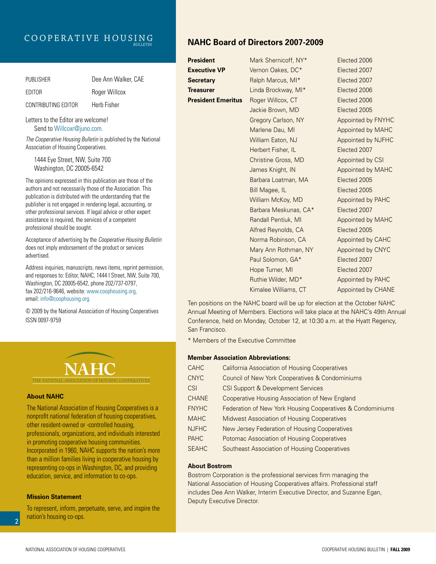## Cooperative Housing *Bulletin*

| <b>PUBLISHER</b>    | Dee Ann Walker, CAE |
|---------------------|---------------------|
| FDITOR              | Roger Willcox       |
| CONTRIBUTING EDITOR | Herb Fisher         |

Letters to the Editor are welcome! Send to Willcoxr@juno.com.

*The Cooperative Housing Bulletin* is published by the National Association of Housing Cooperatives.

1444 Eye Street, NW, Suite 700 Washington, DC 20005-6542

The opinions expressed in this publication are those of the authors and not necessarily those of the Association. This publication is distributed with the understanding that the publisher is not engaged in rendering legal, accounting, or other professional services. If legal advice or other expert assistance is required, the services of a competent professional should be sought.

Acceptance of advertising by the *Cooperative Housing Bulletin*  does not imply endorsement of the product or services advertised.

Address inquiries, manuscripts, news items, reprint permission, and responses to: Editor, NAHC, 1444 I Street, NW, Suite 700, Washington, DC 20005-6542, phone 202/737-0797, fax 202/216-9646, website: www.coophousing.org, email: info@coophousing.org.

© 2009 by the National Association of Housing Cooperatives ISSN 0097-9759



#### **About NAHC**

The National Association of Housing Cooperatives is a nonprofit national federation of housing cooperatives, other resident-owned or -controlled housing, professionals, organizations, and individuals interested in promoting cooperative housing communities. Incorporated in 1960, NAHC supports the nation's more than a million families living in cooperative housing by representing co-ops in Washington, DC, and providing education, service, and information to co-ops.

### **Mission Statement**

To represent, inform, perpetuate, serve, and inspire the nation's housing co-ops.

## **NAHC Board of Directors 2007-2009**

| President                 | Mark Shernicoff, NY*  | Elected 2006       |
|---------------------------|-----------------------|--------------------|
| <b>Executive VP</b>       | Vernon Oakes, DC*     | Elected 2007       |
| <b>Secretary</b>          | Ralph Marcus, MI*     | Elected 2007       |
| Treasurer                 | Linda Brockway, MI*   | Elected 2006       |
| <b>President Emeritus</b> | Roger Willcox, CT     | Elected 2006       |
|                           | Jackie Brown, MD      | Elected 2005       |
|                           | Gregory Carlson, NY   | Appointed by FNYHC |
|                           | Marlene Dau, MI       | Appointed by MAHC  |
|                           | William Eaton, NJ     | Appointed by NJFHC |
|                           | Herbert Fisher, IL    | Elected 2007       |
|                           | Christine Gross, MD   | Appointed by CSI   |
|                           | James Knight, IN      | Appointed by MAHC  |
|                           | Barbara Loatman, MA   | Elected 2005       |
|                           | Bill Magee, IL        | Elected 2005       |
|                           | William McKoy, MD     | Appointed by PAHC  |
|                           | Barbara Meskunas, CA* | Elected 2007       |
|                           | Randall Pentiuk, MI   | Appointed by MAHC  |
|                           | Alfred Reynolds, CA   | Elected 2005       |
|                           | Norma Robinson, CA    | Appointed by CAHC  |
|                           | Mary Ann Rothman, NY  | Appointed by CNYC  |
|                           | Paul Solomon, GA*     | Elected 2007       |
|                           | Hope Turner, MI       | Elected 2007       |
|                           | Ruthie Wilder, MD*    | Appointed by PAHC  |
|                           | Kimalee Williams, CT  | Appointed by CHANE |
|                           |                       |                    |

Ten positions on the NAHC board will be up for election at the October NAHC Annual Meeting of Members. Elections will take place at the NAHC's 49th Annual Conference, held on Monday, October 12, at 10:30 a.m. at the Hyatt Regency, San Francisco.

\* Members of the Executive Committee

#### **Member Association Abbreviations:**

| <b>CAHC</b>  | <b>California Association of Housing Cooperatives</b>      |
|--------------|------------------------------------------------------------|
| <b>CNYC</b>  | Council of New York Cooperatives & Condominiums            |
| <b>CSI</b>   | <b>CSI Support &amp; Development Services</b>              |
| <b>CHANE</b> | Cooperative Housing Association of New England             |
| <b>FNYHC</b> | Federation of New York Housing Cooperatives & Condominiums |
| <b>MAHC</b>  | <b>Midwest Association of Housing Cooperatives</b>         |
| <b>NJFHC</b> | New Jersey Federation of Housing Cooperatives              |
| <b>PAHC</b>  | Potomac Association of Housing Cooperatives                |
| <b>SEAHC</b> | Southeast Association of Housing Cooperatives              |

#### **About Bostrom**

Bostrom Corporation is the professional services firm managing the National Association of Housing Cooperatives affairs. Professional staff includes Dee Ann Walker, Interim Executive Director, and Suzanne Egan, Deputy Executive Director.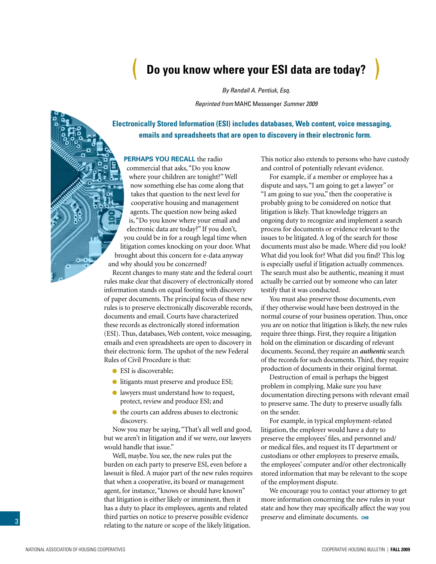# <span id="page-2-0"></span>( **Do you know where your ESI data are today?** )

*By Randall A. Pentiuk, Esq.*

*Reprinted from* MAHC Messenger *Summer 2009*

**Electronically Stored Information (ESI) includes databases, Web content, voice messaging, emails and spreadsheets that are open to discovery in their electronic form.**

### **PERHAPS YOU RECALL** the radio

commercial that asks, "Do you know where your children are tonight?" Well now something else has come along that takes that question to the next level for cooperative housing and management agents. The question now being asked is, "Do you know where your email and electronic data are today?" If you don't, you could be in for a rough legal time when litigation comes knocking on your door. What brought about this concern for e-data anyway and why should you be concerned?

Recent changes to many state and the federal court rules make clear that discovery of electronically stored information stands on equal footing with discovery of paper documents. The principal focus of these new rules is to preserve electronically discoverable records, documents and email. Courts have characterized these records as electronically stored information (ESI). Thus, databases, Web content, voice messaging, emails and even spreadsheets are open to discovery in their electronic form. The upshot of the new Federal Rules of Civil Procedure is that:

- ESI is discoverable;
- **Ilitigants must preserve and produce ESI;**
- lawyers must understand how to request, protect, review and produce ESI; and
- the courts can address abuses to electronic discovery.

Now you may be saying, "That's all well and good, but we aren't in litigation and if we were, our lawyers would handle that issue."

Well, maybe. You see, the new rules put the burden on each party to preserve ESI, even before a lawsuit is filed. A major part of the new rules requires that when a cooperative, its board or management agent, for instance, "knows or should have known" that litigation is either likely or imminent, then it has a duty to place its employees, agents and related third parties on notice to preserve possible evidence relating to the nature or scope of the likely litigation.

This notice also extends to persons who have custody and control of potentially relevant evidence.

For example, if a member or employee has a dispute and says, "I am going to get a lawyer" or "I am going to sue you," then the cooperative is probably going to be considered on notice that litigation is likely. That knowledge triggers an ongoing duty to recognize and implement a search process for documents or evidence relevant to the issues to be litigated. A log of the search for those documents must also be made. Where did you look? What did you look for? What did you find? This log is especially useful if litigation actually commences. The search must also be authentic, meaning it must actually be carried out by someone who can later testify that it was conducted.

You must also preserve those documents, even if they otherwise would have been destroyed in the normal course of your business operation. Thus, once you are on notice that litigation is likely, the new rules require three things. First, they require a litigation hold on the elimination or discarding of relevant documents. Second, they require an *authentic* search of the records for such documents. Third, they require production of documents in their original format.

Destruction of email is perhaps the biggest problem in complying. Make sure you have documentation directing persons with relevant email to preserve same. The duty to preserve usually falls on the sender.

For example, in typical employment-related litigation, the employer would have a duty to preserve the employees' files, and personnel and/ or medical files, and request its IT department or custodians or other employees to preserve emails, the employees' computer and/or other electronically stored information that may be relevant to the scope of the employment dispute.

We encourage you to contact your attorney to get more information concerning the new rules in your state and how they may specifically affect the way you preserve and eliminate documents. CHB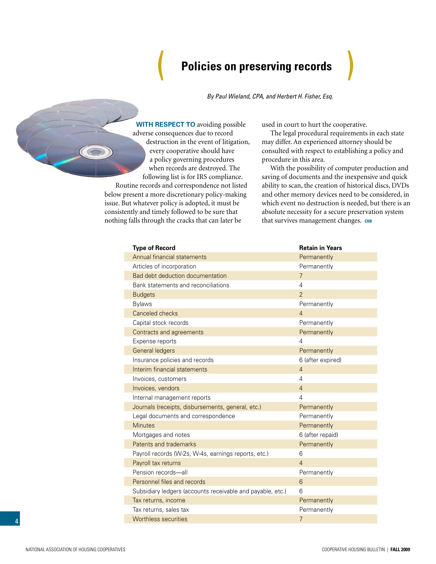## **Policies on preserving records**

*By Paul Wieland, CPA, and Herbert H. Fisher, Esq.*

<span id="page-3-0"></span>**With respect to** avoiding possible adverse consequences due to record destruction in the event of litigation, every cooperative should have a policy governing procedures when records are destroyed. The following list is for IRS compliance.

Routine records and correspondence not listed below present a more discretionary policy-making issue. But whatever policy is adopted, it must be consistently and timely followed to be sure that nothing falls through the cracks that can later be

used in court to hurt the cooperative.

The legal procedural requirements in each state may differ. An experienced attorney should be consulted with respect to establishing a policy and procedure in this area.

With the possibility of computer production and saving of documents and the inexpensive and quick ability to scan, the creation of historical discs, DVDs and other memory devices need to be considered, in which event no destruction is needed, but there is an absolute necessity for a secure preservation system that survives management changes. CHB

| <b>Type of Record</b>                                      | <b>Retain in Years</b> |
|------------------------------------------------------------|------------------------|
| Annual financial statements                                | Permanently            |
| Articles of incorporation                                  | Permanently            |
| Bad debt deduction documentation                           | $\overline{7}$         |
| Bank statements and reconciliations                        | $\overline{4}$         |
| <b>Budgets</b>                                             | $\mathfrak{D}$         |
| <b>Bylaws</b>                                              | Permanently            |
| Canceled checks                                            | $\overline{4}$         |
| Capital stock records                                      | Permanently            |
| Contracts and agreements                                   | Permanently            |
| Expense reports                                            | $\overline{4}$         |
| <b>General ledgers</b>                                     | Permanently            |
| Insurance policies and records                             | 6 (after expired)      |
| Interim financial statements                               | $\overline{4}$         |
| Invoices, customers                                        | $\overline{4}$         |
| Invoices, vendors                                          | $\overline{4}$         |
| Internal management reports                                | $\overline{4}$         |
| Journals (receipts, disbursements, general, etc.)          | Permanently            |
| Legal documents and correspondence                         | Permanently            |
| <b>Minutes</b>                                             | Permanently            |
| Mortgages and notes                                        | 6 (after repaid)       |
| Patents and trademarks                                     | Permanently            |
| Payroll records (W-2s, W-4s, earnings reports, etc.)       | 6                      |
| Payroll tax returns                                        | $\overline{4}$         |
| Pension records-all                                        | Permanently            |
| Personnel files and records                                | 6                      |
| Subsidiary ledgers (accounts receivable and payable, etc.) | 6                      |
| Tax returns, income                                        | Permanently            |
| Tax returns, sales tax                                     | Permanently            |
| <b>Worthless securities</b>                                | $\overline{7}$         |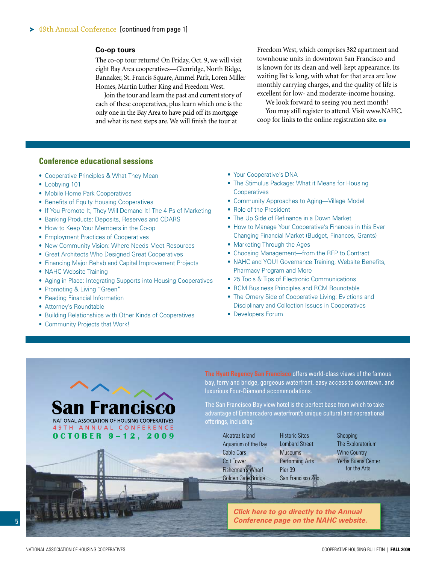#### <span id="page-4-0"></span>**Co-op tours**

The co-op tour returns! On Friday, Oct. 9, we will visit eight Bay Area cooperatives—Glenridge, North Ridge, Bannaker, St. Francis Square, Ammel Park, Loren Miller Homes, Martin Luther King and Freedom West.

Join the tour and learn the past and current story of each of these cooperatives, plus learn which one is the only one in the Bay Area to have paid off its mortgage and what its next steps are. We will finish the tour at

Freedom West, which comprises 382 apartment and townhouse units in downtown San Francisco and is known for its clean and well-kept appearance. Its waiting list is long, with what for that area are low monthly carrying charges, and the quality of life is excellent for low- and moderate-income housing.

We look forward to seeing you next month! You may still register to attend. Visit www.NAHC. coop for links to the online registration site. **chb**

## **Conference educational sessions**

- Cooperative Principles & What They Mean
- Lobbying 101
- Mobile Home Park Cooperatives
- Benefits of Equity Housing Cooperatives
- If You Promote It, They Will Demand It! The 4 Ps of Marketing
- Banking Products: Deposits, Reserves and CDARS
- How to Keep Your Members in the Co-op
- Employment Practices of Cooperatives
- New Community Vision: Where Needs Meet Resources
- Great Architects Who Designed Great Cooperatives
- Financing Major Rehab and Capital Improvement Projects
- NAHC Website Training
- Aging in Place: Integrating Supports into Housing Cooperatives
- Promoting & Living "Green"
- Reading Financial Information
- Attorney's Roundtable
- Building Relationships with Other Kinds of Cooperatives
- Community Projects that Work!
- Your Cooperative's DNA
- The Stimulus Package: What it Means for Housing **Cooperatives**
- Community Approaches to Aging—Village Model
- Role of the President
- The Up Side of Refinance in a Down Market
- How to Manage Your Cooperative's Finances in this Ever Changing Financial Market (Budget, Finances, Grants)
- Marketing Through the Ages
- Choosing Management—from the RFP to Contract
- NAHC and YOU! Governance Training, Website Benefits, Pharmacy Program and More
- 25 Tools & Tips of Electronic Communications
- RCM Business Principles and RCM Roundtable
- The Ornery Side of Cooperative Living: Evictions and Disciplinary and Collection Issues in Cooperatives
- Developers Forum

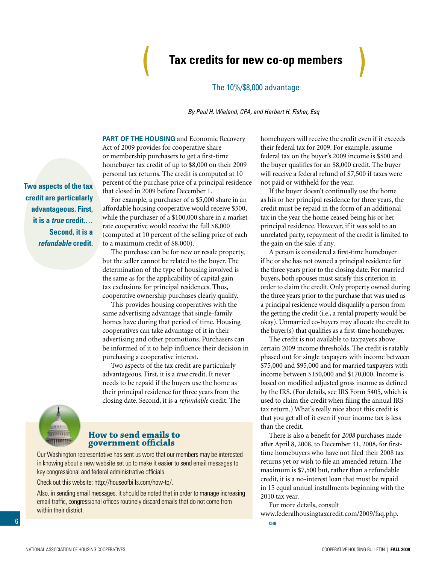# <span id="page-5-0"></span>**Tax credits for new co-op members**  Tax credits for new co-op members

### The 10%/\$8,000 advantage

*By Paul H. Wieland, CPA, and Herbert H. Fisher, Esq*

**PART OF THE HOUSING** and Economic Recovery Act of 2009 provides for cooperative share or membership purchasers to get a first-time homebuyer tax credit of up to \$8,000 on their 2009 personal tax returns. The credit is computed at 10 percent of the purchase price of a principal residence that closed in 2009 before December 1.

For example, a purchaser of a \$5,000 share in an affordable housing cooperative would receive \$500, while the purchaser of a \$100,000 share in a marketrate cooperative would receive the full \$8,000 (computed at 10 percent of the selling price of each to a maximum credit of \$8,000).

The purchase can be for new or resale property, but the seller cannot be related to the buyer. The determination of the type of housing involved is the same as for the applicability of capital gain tax exclusions for principal residences. Thus, cooperative ownership purchases clearly qualify.

This provides housing cooperatives with the same advertising advantage that single-family homes have during that period of time. Housing cooperatives can take advantage of it in their advertising and other promotions. Purchasers can be informed of it to help influence their decision in purchasing a cooperative interest.

Two aspects of the tax credit are particularly advantageous. First, it is a *true* credit. It never needs to be repaid if the buyers use the home as their principal residence for three years from the closing date. Second, it is a *refundable* credit. The



### **How to send emails to government officials**

Our Washington representative has sent us word that our members may be interested in knowing about a new website set up to make it easier to send email messages to key congressional and federal administrative officials.

Check out this website: http://houseofbills.com/how-to/.

Also, in sending email messages, it should be noted that in order to manage increasing email traffic, congressional offices routinely discard emails that do not come from within their district.

homebuyers will receive the credit even if it exceeds their federal tax for 2009. For example, assume federal tax on the buyer's 2009 income is \$500 and the buyer qualifies for an \$8,000 credit. The buyer will receive a federal refund of \$7,500 if taxes were not paid or withheld for the year.

If the buyer doesn't continually use the home as his or her principal residence for three years, the credit must be repaid in the form of an additional tax in the year the home ceased being his or her principal residence. However, if it was sold to an unrelated party, repayment of the credit is limited to the gain on the sale, if any.

A person is considered a first-time homebuyer if he or she has not owned a principal residence for the three years prior to the closing date. For married buyers, both spouses must satisfy this criterion in order to claim the credit. Only property owned during the three years prior to the purchase that was used as a principal residence would disqualify a person from the getting the credit (i.e., a rental property would be okay). Unmarried co-buyers may allocate the credit to the buyer(s) that qualifies as a first-time homebuyer.

The credit is not available to taxpayers above certain 2009 income thresholds. The credit is ratably phased out for single taxpayers with income between \$75,000 and \$95,000 and for married taxpayers with income between \$150,000 and \$170,000. Income is based on modified adjusted gross income as defined by the IRS. (For details, see IRS Form 5405, which is used to claim the credit when filing the annual IRS tax return.) What's really nice about this credit is that you get all of it even if your income tax is less than the credit.

There is also a benefit for *2008* purchases made after April 8, 2008, to December 31, 2008, for firsttime homebuyers who have not filed their 2008 tax returns yet or wish to file an amended return. The maximum is \$7,500 but, rather than a refundable credit, it is a no-interest loan that must be repaid in 15 equal annual installments beginning with the 2010 tax year.

For more details, consult

www.federalhousingtaxcredit.com/2009/faq.php.

**chB** 

**Two aspects of the tax credit are particularly advantageous. First, it is a** *true* **credit.… Second, it is a**  *refundable* **credit.**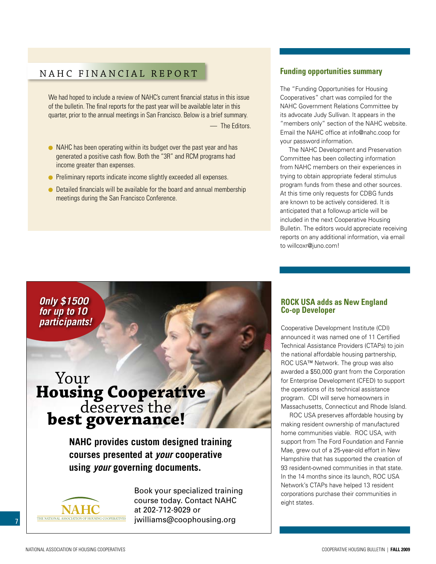## <span id="page-6-0"></span>NAHC FINANCIAL REPORT

We had hoped to include a review of NAHC's current financial status in this issue of the bulletin. The final reports for the past year will be available later in this quarter, prior to the annual meetings in San Francisco. Below is a brief summary. — The Editors.

- NAHC has been operating within its budget over the past year and has generated a positive cash flow. Both the "3R" and RCM programs had income greater than expenses.
- **•** Preliminary reports indicate income slightly exceeded all expenses.
- Detailed financials will be available for the board and annual membership meetings during the San Francisco Conference.

## **Funding opportunities summary**

The "Funding Opportunities for Housing Cooperatives" chart was compiled for the NAHC Government Relations Committee by its advocate Judy Sullivan. It appears in the "members only" section of the NAHC website. Email the NAHC office at info@nahc.coop for your password information.

The NAHC Development and Preservation Committee has been collecting information from NAHC members on their experiences in trying to obtain appropriate federal stimulus program funds from these and other sources. At this time only requests for CDBG funds are known to be actively considered. It is anticipated that a followup article will be included in the next Cooperative Housing Bulletin. The editors would appreciate receiving reports on any additional information, via email to willcoxr@juno.com!

*Only \$1500 for up to 10 participants!*

# Your **Housing Cooperative** deserves the **best governance!**

**NAHC provides custom designed training courses presented at** *your* **cooperative using** *your* **governing documents.**



Book your specialized training Book your specialized training course today. Contact NAHC course today. Contact NAHC at 202-712-9029 or at 202-712-9029 or jwilliams@coophousing.org. jwilliams@coophousing.org

# **ROCK USA adds as New England Co-op Developer**

Cooperative Development Institute (CDI) announced it was named one of 11 Certified Technical Assistance Providers (CTAPs) to join the national affordable housing partnership, ROC USA™ Network. The group was also awarded a \$50,000 grant from the Corporation for Enterprise Development (CFED) to support the operations of its technical assistance program. CDI will serve homeowners in Massachusetts, Connecticut and Rhode Island.

ROC USA preserves affordable housing by making resident ownership of manufactured home communities viable. ROC USA, with support from The Ford Foundation and Fannie Mae, grew out of a 25-year-old effort in New Hampshire that has supported the creation of 93 resident-owned communities in that state. In the 14 months since its launch, ROC USA Network's CTAPs have helped 13 resident corporations purchase their communities in eight states.

7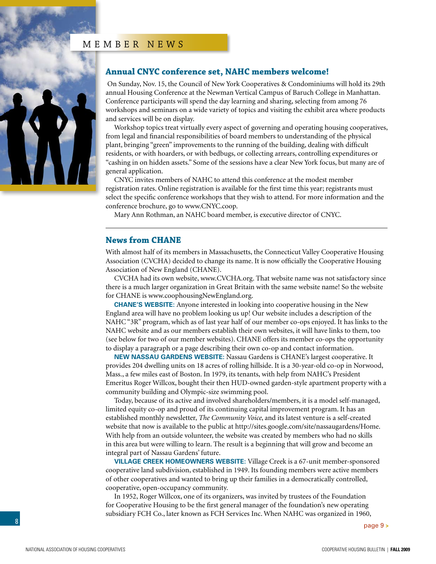## MEMBER NEWS

<span id="page-7-0"></span>

## **Annual CNYC conference set, NAHC members welcome!**

 On Sunday, Nov. 15, the Council of New York Cooperatives & Condominiums will hold its 29th annual Housing Conference at the Newman Vertical Campus of Baruch College in Manhattan. Conference participants will spend the day learning and sharing, selecting from among 76 workshops and seminars on a wide variety of topics and visiting the exhibit area where products and services will be on display.

Workshop topics treat virtually every aspect of governing and operating housing cooperatives, from legal and financial responsibilities of board members to understanding of the physical plant, bringing "green" improvements to the running of the building, dealing with difficult residents, or with hoarders, or with bedbugs, or collecting arrears, controlling expenditures or "cashing in on hidden assets." Some of the sessions have a clear New York focus, but many are of general application.

CNYC invites members of NAHC to attend this conference at the modest member registration rates. Online registration is available for the first time this year; registrants must select the specific conference workshops that they wish to attend. For more information and the conference brochure, go to www.CNYC.coop.

Mary Ann Rothman, an NAHC board member, is executive director of CNYC.

### **News from CHANE**

With almost half of its members in Massachusetts, the Connecticut Valley Cooperative Housing Association (CVCHA) decided to change its name. It is now officially the Cooperative Housing Association of New England (CHANE).

CVCHA had its own website, www.CVCHA.org. That website name was not satisfactory since there is a much larger organization in Great Britain with the same website name! So the website for CHANE is www.coophousingNewEngland.org.

**CHANE's WEBSITE:** Anyone interested in looking into cooperative housing in the New England area will have no problem looking us up! Our website includes a description of the NAHC "3R" program, which as of last year half of our member co-ops enjoyed. It has links to the NAHC website and as our members establish their own websites, it will have links to them, too (see below for two of our member websites). CHANE offers its member co-ops the opportunity to display a paragraph or a page describing their own co-op and contact information.

**NEW NASSAU GARDENS WEBSITE:** Nassau Gardens is CHANE's largest cooperative. It provides 204 dwelling units on 18 acres of rolling hillside. It is a 30-year-old co-op in Norwood, Mass., a few miles east of Boston. In 1979, its tenants, with help from NAHC's President Emeritus Roger Willcox, bought their then HUD-owned garden-style apartment property with a community building and Olympic-size swimming pool.

Today, because of its active and involved shareholders/members, it is a model self-managed, limited equity co-op and proud of its continuing capital improvement program. It has an established monthly newsletter, *The Community Voice*, and its latest venture is a self-created website that now is available to the public at http://sites.google.com/site/nassaugardens/Home. With help from an outside volunteer, the website was created by members who had no skills in this area but were willing to learn. The result is a beginning that will grow and become an integral part of Nassau Gardens' future.

**VILLAGE CREEK HOMEOWNERS WEBSITE:** Village Creek is a 67-unit member-sponsored cooperative land subdivision, established in 1949. Its founding members were active members of other cooperatives and wanted to bring up their families in a democratically controlled, cooperative, open-occupancy community.

In 1952, Roger Willcox, one of its organizers, was invited by trustees of the Foundation for Cooperative Housing to be the first general manager of the foundation's new operating subsidiary FCH Co., later known as FCH Services Inc. When NAHC was organized in 1960,

[page 9](#page-8-0) **>**

8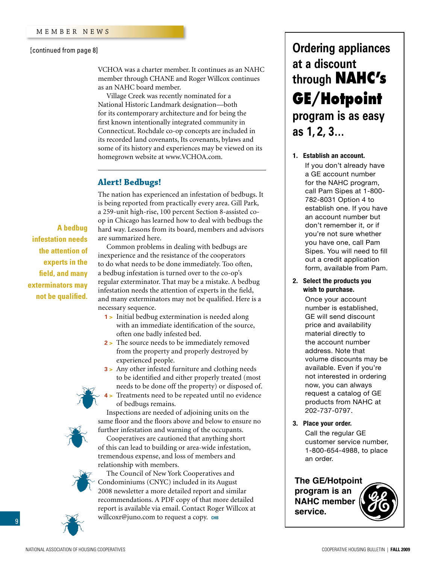#### <span id="page-8-0"></span>[\[continued from page 8\]](#page-7-0)

VCHOA was a charter member. It continues as an NAHC member through CHANE and Roger Willcox continues as an NAHC board member.

Village Creek was recently nominated for a National Historic Landmark designation—both for its contemporary architecture and for being the first known intentionally integrated community in Connecticut. Rochdale co-op concepts are included in its recorded land covenants, Its covenants, bylaws and some of its history and experiences may be viewed on its homegrown website at www.VCHOA.com.

### **Alert! Bedbugs!**

The nation has experienced an infestation of bedbugs. It is being reported from practically every area. Gill Park, a 259-unit high-rise, 100 percent Section 8-assisted coop in Chicago has learned how to deal with bedbugs the hard way. Lessons from its board, members and advisors are summarized here.

**A bedbug infestation needs the attention of experts in the field, and many exterminators may not be qualified.** 

Common problems in dealing with bedbugs are inexperience and the resistance of the cooperators to do what needs to be done immediately. Too often, a bedbug infestation is turned over to the co-op's regular exterminator. That may be a mistake. A bedbug infestation needs the attention of experts in the field, and many exterminators may not be qualified. Here is a necessary sequence.

- **1 >** Initial bedbug extermination is needed along with an immediate identification of the source, often one badly infested bed.
- **2 >** The source needs to be immediately removed from the property and properly destroyed by experienced people.
- **3 >** Any other infested furniture and clothing needs to be identified and either properly treated (most needs to be done off the property) or disposed of. **4 >** Treatments need to be repeated until no evidence of bedbugs remains.

Inspections are needed of adjoining units on the same floor and the floors above and below to ensure no further infestation and warning of the occupants.

Cooperatives are cautioned that anything short of this can lead to building or area-wide infestation, tremendous expense, and loss of members and relationship with members.



The Council of New York Cooperatives and Condominiums (CNYC) included in its August 2008 newsletter a more detailed report and similar recommendations. A PDF copy of that more detailed report is available via email. Contact Roger Willcox at willcoxr@juno.com to request а сору. снв

# **Ordering appliances at a discount through NAHC's GE/Hotpoint program is as easy as 1, 2, 3…**

## **1. Establish an account. 1. Establish an account.**

Pam Sipes<br>Pamang Sipes you have one, can't am orpes. Tod will need to If you don't already have a If you don't already have a GE account number a call account names.<br>for the NAHC program, call Pam Sipes at 1-800to establish one. If you have 782-8031 Option 4 to establish one. If you have an account number but don't remember it, or if you're not sure whether you have one, call Pam form, available from Pam. out, a canadia from the film

2. Select the products you wish to purchase.

**2. Select the products you** number is established, **wish to purchase.** GE will send discount price and availability material directly to the account number address. Note that volume discounts may be available. Even if you're available. Even if you're not interested in order rient, you can almost<br>request a catalog of GE products from NAHC at GE products from NAHC at 202-737-0797. 202/01/01 Once your account

**3. Place your order.** 

**3. Place your order.** Call the regular GE Call the regular GE customer service number, customer service number, 1-800-654-4988, to place 1-800-654-4988, to place an order. an order.

## **The GE/Hotpoint**

**program is an NAHC member service.**



9